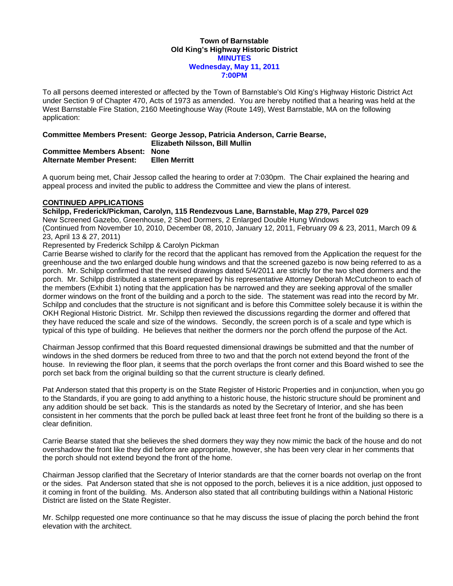#### **Town of Barnstable Old King's Highway Historic District MINUTES Wednesday, May 11, 2011 7:00PM**

To all persons deemed interested or affected by the Town of Barnstable's Old King's Highway Historic District Act under Section 9 of Chapter 470, Acts of 1973 as amended. You are hereby notified that a hearing was held at the West Barnstable Fire Station, 2160 Meetinghouse Way (Route 149), West Barnstable, MA on the following application:

# **Committee Members Present: George Jessop, Patricia Anderson, Carrie Bearse,**

 **Elizabeth Nilsson, Bill Mullin** 

#### **Committee Members Absent: None Alternate Member Present: Ellen Merritt**

A quorum being met, Chair Jessop called the hearing to order at 7:030pm. The Chair explained the hearing and appeal process and invited the public to address the Committee and view the plans of interest.

### **CONTINUED APPLICATIONS**

**Schilpp, Frederick/Pickman, Carolyn, 115 Rendezvous Lane, Barnstable, Map 279, Parcel 029** 

New Screened Gazebo, Greenhouse, 2 Shed Dormers, 2 Enlarged Double Hung Windows (Continued from November 10, 2010, December 08, 2010, January 12, 2011, February 09 & 23, 2011, March 09 & 23, April 13 & 27, 2011)

### Represented by Frederick Schilpp & Carolyn Pickman

Carrie Bearse wished to clarify for the record that the applicant has removed from the Application the request for the greenhouse and the two enlarged double hung windows and that the screened gazebo is now being referred to as a porch. Mr. Schilpp confirmed that the revised drawings dated 5/4/2011 are strictly for the two shed dormers and the porch. Mr. Schilpp distributed a statement prepared by his representative Attorney Deborah McCutcheon to each of the members (Exhibit 1) noting that the application has be narrowed and they are seeking approval of the smaller dormer windows on the front of the building and a porch to the side. The statement was read into the record by Mr. Schilpp and concludes that the structure is not significant and is before this Committee solely because it is within the OKH Regional Historic District. Mr. Schilpp then reviewed the discussions regarding the dormer and offered that they have reduced the scale and size of the windows. Secondly, the screen porch is of a scale and type which is typical of this type of building. He believes that neither the dormers nor the porch offend the purpose of the Act.

Chairman Jessop confirmed that this Board requested dimensional drawings be submitted and that the number of windows in the shed dormers be reduced from three to two and that the porch not extend beyond the front of the house. In reviewing the floor plan, it seems that the porch overlaps the front corner and this Board wished to see the porch set back from the original building so that the current structure is clearly defined.

Pat Anderson stated that this property is on the State Register of Historic Properties and in conjunction, when you go to the Standards, if you are going to add anything to a historic house, the historic structure should be prominent and any addition should be set back. This is the standards as noted by the Secretary of Interior, and she has been consistent in her comments that the porch be pulled back at least three feet front he front of the building so there is a clear definition.

Carrie Bearse stated that she believes the shed dormers they way they now mimic the back of the house and do not overshadow the front like they did before are appropriate, however, she has been very clear in her comments that the porch should not extend beyond the front of the home.

Chairman Jessop clarified that the Secretary of Interior standards are that the corner boards not overlap on the front or the sides. Pat Anderson stated that she is not opposed to the porch, believes it is a nice addition, just opposed to it coming in front of the building. Ms. Anderson also stated that all contributing buildings within a National Historic District are listed on the State Register.

Mr. Schilpp requested one more continuance so that he may discuss the issue of placing the porch behind the front elevation with the architect.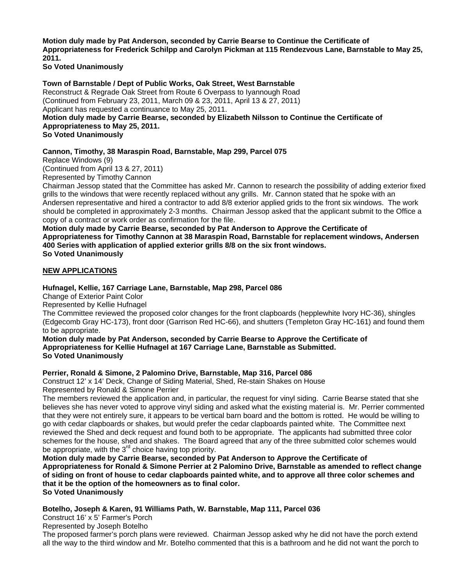**Motion duly made by Pat Anderson, seconded by Carrie Bearse to Continue the Certificate of Appropriateness for Frederick Schilpp and Carolyn Pickman at 115 Rendezvous Lane, Barnstable to May 25, 2011.** 

**So Voted Unanimously** 

### **Town of Barnstable / Dept of Public Works, Oak Street, West Barnstable**

Reconstruct & Regrade Oak Street from Route 6 Overpass to Iyannough Road (Continued from February 23, 2011, March 09 & 23, 2011, April 13 & 27, 2011) Applicant has requested a continuance to May 25, 2011.

**Motion duly made by Carrie Bearse, seconded by Elizabeth Nilsson to Continue the Certificate of Appropriateness to May 25, 2011.** 

**So Voted Unanimously** 

### **Cannon, Timothy, 38 Maraspin Road, Barnstable, Map 299, Parcel 075**

Replace Windows (9)

(Continued from April 13 & 27, 2011)

Represented by Timothy Cannon

Chairman Jessop stated that the Committee has asked Mr. Cannon to research the possibility of adding exterior fixed grills to the windows that were recently replaced without any grills. Mr. Cannon stated that he spoke with an Andersen representative and hired a contractor to add 8/8 exterior applied grids to the front six windows. The work should be completed in approximately 2-3 months. Chairman Jessop asked that the applicant submit to the Office a copy of a contract or work order as confirmation for the file.

**Motion duly made by Carrie Bearse, seconded by Pat Anderson to Approve the Certificate of Appropriateness for Timothy Cannon at 38 Maraspin Road, Barnstable for replacement windows, Andersen 400 Series with application of applied exterior grills 8/8 on the six front windows. So Voted Unanimously** 

### **NEW APPLICATIONS**

### **Hufnagel, Kellie, 167 Carriage Lane, Barnstable, Map 298, Parcel 086**

Change of Exterior Paint Color

Represented by Kellie Hufnagel

The Committee reviewed the proposed color changes for the front clapboards (hepplewhite Ivory HC-36), shingles (Edgecomb Gray HC-173), front door (Garrison Red HC-66), and shutters (Templeton Gray HC-161) and found them to be appropriate.

**Motion duly made by Pat Anderson, seconded by Carrie Bearse to Approve the Certificate of Appropriateness for Kellie Hufnagel at 167 Carriage Lane, Barnstable as Submitted. So Voted Unanimously** 

### **Perrier, Ronald & Simone, 2 Palomino Drive, Barnstable, Map 316, Parcel 086**

Construct 12' x 14' Deck, Change of Siding Material, Shed, Re-stain Shakes on House Represented by Ronald & Simone Perrier

The members reviewed the application and, in particular, the request for vinyl siding. Carrie Bearse stated that she believes she has never voted to approve vinyl siding and asked what the existing material is. Mr. Perrier commented that they were not entirely sure, it appears to be vertical barn board and the bottom is rotted. He would be willing to go with cedar clapboards or shakes, but would prefer the cedar clapboards painted white. The Committee next reviewed the Shed and deck request and found both to be appropriate. The applicants had submitted three color schemes for the house, shed and shakes. The Board agreed that any of the three submitted color schemes would be appropriate, with the  $3<sup>rd</sup>$  choice having top priority.

**Motion duly made by Carrie Bearse, seconded by Pat Anderson to Approve the Certificate of Appropriateness for Ronald & Simone Perrier at 2 Palomino Drive, Barnstable as amended to reflect change of siding on front of house to cedar clapboards painted white, and to approve all three color schemes and that it be the option of the homeowners as to final color. So Voted Unanimously** 

### **Botelho, Joseph & Karen, 91 Williams Path, W. Barnstable, Map 111, Parcel 036**

Construct 16' x 5' Farmer's Porch

Represented by Joseph Botelho

The proposed farmer's porch plans were reviewed. Chairman Jessop asked why he did not have the porch extend all the way to the third window and Mr. Botelho commented that this is a bathroom and he did not want the porch to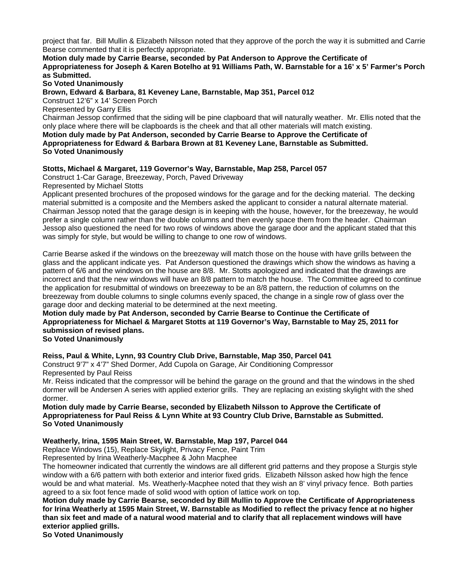project that far. Bill Mullin & Elizabeth Nilsson noted that they approve of the porch the way it is submitted and Carrie Bearse commented that it is perfectly appropriate.

#### **Motion duly made by Carrie Bearse, seconded by Pat Anderson to Approve the Certificate of Appropriateness for Joseph & Karen Botelho at 91 Williams Path, W. Barnstable for a 16' x 5' Farmer's Porch as Submitted.**

**So Voted Unanimously** 

**Brown, Edward & Barbara, 81 Keveney Lane, Barnstable, Map 351, Parcel 012** 

Construct 12'6" x 14' Screen Porch

Represented by Garry Ellis

Chairman Jessop confirmed that the siding will be pine clapboard that will naturally weather. Mr. Ellis noted that the only place where there will be clapboards is the cheek and that all other materials will match existing.

**Motion duly made by Pat Anderson, seconded by Carrie Bearse to Approve the Certificate of Appropriateness for Edward & Barbara Brown at 81 Keveney Lane, Barnstable as Submitted. So Voted Unanimously** 

#### **Stotts, Michael & Margaret, 119 Governor's Way, Barnstable, Map 258, Parcel 057**

Construct 1-Car Garage, Breezeway, Porch, Paved Driveway

Represented by Michael Stotts

Applicant presented brochures of the proposed windows for the garage and for the decking material. The decking material submitted is a composite and the Members asked the applicant to consider a natural alternate material. Chairman Jessop noted that the garage design is in keeping with the house, however, for the breezeway, he would prefer a single column rather than the double columns and then evenly space them from the header. Chairman Jessop also questioned the need for two rows of windows above the garage door and the applicant stated that this was simply for style, but would be willing to change to one row of windows.

Carrie Bearse asked if the windows on the breezeway will match those on the house with have grills between the glass and the applicant indicate yes. Pat Anderson questioned the drawings which show the windows as having a pattern of 6/6 and the windows on the house are 8/8. Mr. Stotts apologized and indicated that the drawings are incorrect and that the new windows will have an 8/8 pattern to match the house. The Committee agreed to continue the application for resubmittal of windows on breezeway to be an 8/8 pattern, the reduction of columns on the breezeway from double columns to single columns evenly spaced, the change in a single row of glass over the garage door and decking material to be determined at the next meeting.

## **Motion duly made by Pat Anderson, seconded by Carrie Bearse to Continue the Certificate of Appropriateness for Michael & Margaret Stotts at 119 Governor's Way, Barnstable to May 25, 2011 for submission of revised plans.**

#### **So Voted Unanimously**

### **Reiss, Paul & White, Lynn, 93 Country Club Drive, Barnstable, Map 350, Parcel 041**

Construct 9'7" x 4'7" Shed Dormer, Add Cupola on Garage, Air Conditioning Compressor Represented by Paul Reiss

Mr. Reiss indicated that the compressor will be behind the garage on the ground and that the windows in the shed dormer will be Andersen A series with applied exterior grills. They are replacing an existing skylight with the shed dormer.

#### **Motion duly made by Carrie Bearse, seconded by Elizabeth Nilsson to Approve the Certificate of Appropriateness for Paul Reiss & Lynn White at 93 Country Club Drive, Barnstable as Submitted. So Voted Unanimously**

#### **Weatherly, Irina, 1595 Main Street, W. Barnstable, Map 197, Parcel 044**

Replace Windows (15), Replace Skylight, Privacy Fence, Paint Trim

Represented by Irina Weatherly-Macphee & John Macphee

The homeowner indicated that currently the windows are all different grid patterns and they propose a Sturgis style window with a 6/6 pattern with both exterior and interior fixed grids. Elizabeth Nilsson asked how high the fence would be and what material. Ms. Weatherly-Macphee noted that they wish an 8' vinyl privacy fence. Both parties agreed to a six foot fence made of solid wood with option of lattice work on top.

**Motion duly made by Carrie Bearse, seconded by Bill Mullin to Approve the Certificate of Appropriateness for Irina Weatherly at 1595 Main Street, W. Barnstable as Modified to reflect the privacy fence at no higher than six feet and made of a natural wood material and to clarify that all replacement windows will have exterior applied grills.** 

**So Voted Unanimously**